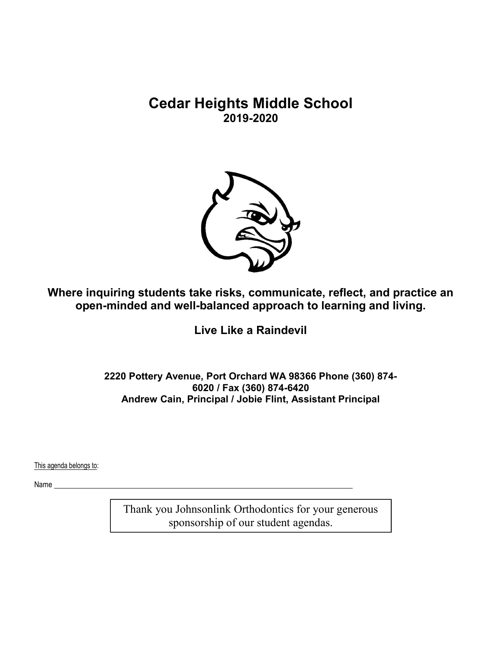Cedar Heights Middle School 2019-2020



Where inquiring students take risks, communicate, reflect, and practice an open-minded and well-balanced approach to learning and living.

Live Like a Raindevil

2220 Pottery Avenue, Port Orchard WA 98366 Phone (360) 874- 6020 / Fax (360) 874-6420 Andrew Cain, Principal / Jobie Flint, Assistant Principal

This agenda belongs to:

Name

Thank you Johnsonlink Orthodontics for your generous sponsorship of our student agendas.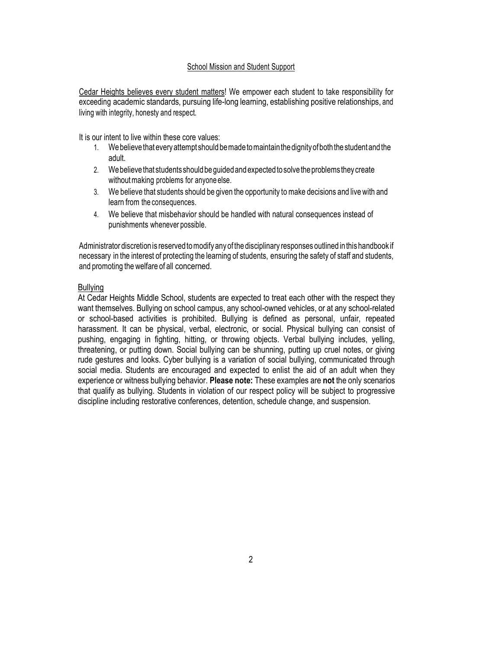## School Mission and Student Support

Cedar Heights believes every student matters! We empower each student to take responsibility for exceeding academic standards, pursuing life-long learning, establishing positive relationships, and living with integrity, honesty and respect.

It is our intent to live within these core values:

- 1. We believe that every attempt should be made to maintain the dignity of both the student and the adult.
- 2. We believe that students should be guided and expected to solve the problems they create without making problems for anyone else.
- 3. We believe that students should be given the opportunity to make decisions and live with and learn from the consequences.
- 4. We believe that misbehavior should be handled with natural consequences instead of punishments whenever possible.

Administrator discretion is reserved to modify any of the disciplinary responses outlined in this handbook if necessary in the interest of protecting the learning of students, ensuring the safety of staff and students, and promoting the welfare of all concerned.

## **Bullving**

At Cedar Heights Middle School, students are expected to treat each other with the respect they want themselves. Bullying on school campus, any school-owned vehicles, or at any school-related or school-based activities is prohibited. Bullying is defined as personal, unfair, repeated harassment. It can be physical, verbal, electronic, or social. Physical bullying can consist of pushing, engaging in fighting, hitting, or throwing objects. Verbal bullying includes, yelling, threatening, or putting down. Social bullying can be shunning, putting up cruel notes, or giving rude gestures and looks. Cyber bullying is a variation of social bullying, communicated through social media. Students are encouraged and expected to enlist the aid of an adult when they experience or witness bullying behavior. Please note: These examples are not the only scenarios that qualify as bullying. Students in violation of our respect policy will be subject to progressive discipline including restorative conferences, detention, schedule change, and suspension.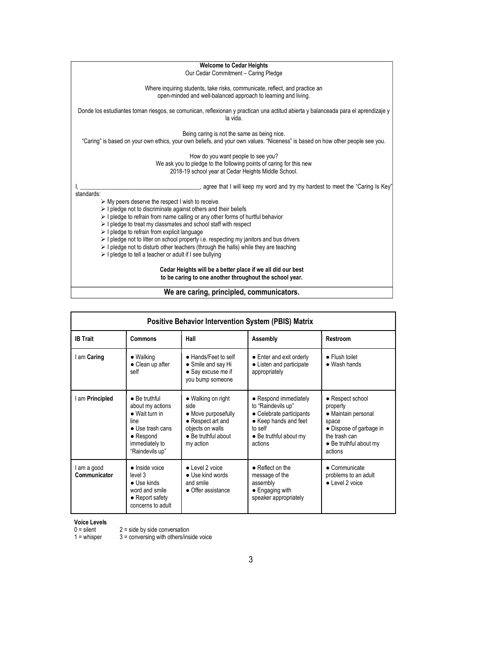| <b>Welcome to Cedar Heights</b>                                                                                                                                                                               |
|---------------------------------------------------------------------------------------------------------------------------------------------------------------------------------------------------------------|
| Our Cedar Commitment - Caring Pledge                                                                                                                                                                          |
|                                                                                                                                                                                                               |
| Where inquiring students, take risks, communicate, reflect, and practice an                                                                                                                                   |
| open-minded and well-balanced approach to learning and living.                                                                                                                                                |
| Donde los estudiantes toman riesgos, se comunican, reflexionan y practican una actitud abierta y balanceada para el aprendizaje y<br>la vida.                                                                 |
| Being caring is not the same as being nice.                                                                                                                                                                   |
| "Caring" is based on your own ethics, your own beliefs, and your own values. "Niceness" is based on how other people see you.                                                                                 |
| How do you want people to see you?                                                                                                                                                                            |
| We ask you to pledge to the following points of caring for this new                                                                                                                                           |
| 2018-19 school year at Cedar Heights Middle School.                                                                                                                                                           |
|                                                                                                                                                                                                               |
| , agree that I will keep my word and try my hardest to meet the "Caring Is Key"                                                                                                                               |
| standards:                                                                                                                                                                                                    |
| $\triangleright$ My peers deserve the respect I wish to receive.                                                                                                                                              |
| $\triangleright$ I pledge not to discriminate against others and their beliefs                                                                                                                                |
| $\triangleright$ I pledge to refrain from name calling or any other forms of hurtful behavior                                                                                                                 |
| $\triangleright$ I pledge to treat my classmates and school staff with respect                                                                                                                                |
| $\triangleright$ I pledge to refrain from explicit language                                                                                                                                                   |
| $\triangleright$ I pledge not to litter on school property i.e. respecting my janitors and bus drivers<br>$\triangleright$ I pledge not to disturb other teachers (through the halls) while they are teaching |
| $\triangleright$ I pledge to tell a teacher or adult if I see bullying                                                                                                                                        |
|                                                                                                                                                                                                               |
| Cedar Heights will be a better place if we all did our best<br>to be caring to one another throughout the school year.                                                                                        |

# We are caring, principled, communicators.

| <b>Positive Behavior Intervention System (PBIS) Matrix</b> |                                                                                                                                                           |                                                                                                                                |                                                                                                                                                  |                                                                                                                                               |  |
|------------------------------------------------------------|-----------------------------------------------------------------------------------------------------------------------------------------------------------|--------------------------------------------------------------------------------------------------------------------------------|--------------------------------------------------------------------------------------------------------------------------------------------------|-----------------------------------------------------------------------------------------------------------------------------------------------|--|
| <b>IB Trait</b>                                            | Hall<br>Restroom<br>Commons<br>Assembly                                                                                                                   |                                                                                                                                |                                                                                                                                                  |                                                                                                                                               |  |
| I am <b>Caring</b>                                         | $\bullet$ Walking<br>$\bullet$ Clean up after<br>self                                                                                                     | • Hands/Feet to self<br>• Smile and say Hi<br>• Say excuse me if<br>you bump someone                                           | • Enter and exit orderly<br>• Listen and participate<br>appropriately                                                                            | • Flush toilet<br>$\bullet$ Wash hands                                                                                                        |  |
| I am Principled                                            | • Be truthful<br>about my actions<br>$\bullet$ Wait turn in<br>line<br>$\bullet$ Use trash cans<br>$\bullet$ Respond<br>immediately to<br>"Raindevils up" | • Walking on right<br>side<br>• Move purposefully<br>• Respect art and<br>objects on walls<br>• Be truthful about<br>my action | • Respond immediately<br>to "Raindevils up"<br>• Celebrate participants<br>• Keep hands and feet<br>to self<br>• Be truthful about my<br>actions | • Respect school<br>property<br>• Maintain personal<br>space<br>• Dispose of garbage in<br>the trash can<br>• Be truthful about my<br>actions |  |
| l am a good<br>Communicator                                | · Inside voice<br>level 3<br>$\bullet$ Use kinds<br>word and smile<br>• Report safety<br>concerns to adult                                                | · Level 2 voice<br>• Use kind words<br>and smile<br>$\bullet$ Offer assistance                                                 | • Reflect on the<br>message of the<br>assembly<br>$\bullet$ Engaging with<br>speaker appropriately                                               | $\bullet$ Communicate<br>problems to an adult<br>· Level 2 voice                                                                              |  |

Voice Levels<br> $0 = \text{silent}$ <br> $1 = \text{whisper}$ 

 $0 =$  silent  $2 =$  side by side conversation

1 = whisper 3 = conversing with others/inside voice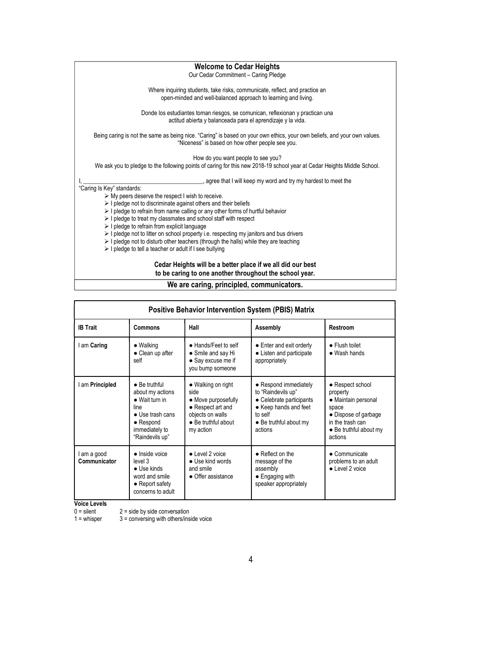| <b>Welcome to Cedar Heights</b>                                                                                                                                              |
|------------------------------------------------------------------------------------------------------------------------------------------------------------------------------|
| Our Cedar Commitment - Caring Pledge                                                                                                                                         |
| Where inquiring students, take risks, communicate, reflect, and practice an<br>open-minded and well-balanced approach to learning and living.                                |
| Donde los estudiantes toman riesgos, se comunican, reflexionan y practican una<br>actitud abierta y balanceada para el aprendizaje y la vida.                                |
| Being caring is not the same as being nice. "Caring" is based on your own ethics, your own beliefs, and your own values.<br>"Niceness" is based on how other people see you. |
| How do you want people to see you?<br>We ask you to pledge to the following points of caring for this new 2018-19 school year at Cedar Heights Middle School.                |
| , agree that I will keep my word and try my hardest to meet the                                                                                                              |
| "Caring Is Key" standards:                                                                                                                                                   |
| $\triangleright$ My peers deserve the respect I wish to receive.                                                                                                             |
| $\triangleright$ I pledge not to discriminate against others and their beliefs                                                                                               |
| $\triangleright$ I pledge to refrain from name calling or any other forms of hurtful behavior                                                                                |
| > I pledge to treat my classmates and school staff with respect                                                                                                              |
| $\triangleright$ I pledge to refrain from explicit language<br>$\triangleright$ I pledge not to litter on school property i.e. respecting my janitors and bus drivers        |
| $\triangleright$ I pledge not to disturb other teachers (through the halls) while they are teaching                                                                          |
| $\triangleright$ I pledge to tell a teacher or adult if I see bullying                                                                                                       |
| Cedar Heights will be a better place if we all did our best                                                                                                                  |

to be caring to one another throughout the school year.

We are caring, principled, communicators.

| <b>Positive Behavior Intervention System (PBIS) Matrix</b> |                                                                                                                                                           |                                                                                                                                        |                                                                                                                                                  |                                                                                                                                               |
|------------------------------------------------------------|-----------------------------------------------------------------------------------------------------------------------------------------------------------|----------------------------------------------------------------------------------------------------------------------------------------|--------------------------------------------------------------------------------------------------------------------------------------------------|-----------------------------------------------------------------------------------------------------------------------------------------------|
| <b>IB Trait</b>                                            | Commons                                                                                                                                                   | Hall                                                                                                                                   | Assembly                                                                                                                                         | Restroom                                                                                                                                      |
| am Caring                                                  | • Walking<br>• Clean up after<br>self                                                                                                                     | • Hands/Feet to self<br>• Smile and say Hi<br>• Say excuse me if<br>you bump someone                                                   | • Enter and exit orderly<br>• Listen and participate<br>appropriately                                                                            | • Flush toilet<br>$\bullet$ Wash hands                                                                                                        |
| am Principled                                              | • Be truthful<br>about my actions<br>$\bullet$ Wait turn in<br>line<br>$\bullet$ Use trash cans<br>$\bullet$ Respond<br>immediately to<br>"Raindevils up" | • Walking on right<br>side<br>• Move purposefully<br>• Respect art and<br>objects on walls<br>$\bullet$ Be truthful about<br>my action | • Respond immediately<br>to "Raindevils up"<br>• Celebrate participants<br>• Keep hands and feet<br>to self<br>• Be truthful about my<br>actions | • Respect school<br>property<br>• Maintain personal<br>space<br>• Dispose of garbage<br>in the trash can<br>• Be truthful about my<br>actions |
| am a good<br>Communicator                                  | $\bullet$ Inside voice<br>level 3<br>$\bullet$ Use kinds<br>word and smile<br>• Report safety<br>concerns to adult                                        | • Level 2 voice<br>• Use kind words<br>and smile<br>• Offer assistance                                                                 | $\bullet$ Reflect on the<br>message of the<br>assembly<br>$\bullet$ Engaging with<br>speaker appropriately                                       | $\bullet$ Communicate<br>problems to an adult<br>• Level 2 voice                                                                              |

Voice Levels<br> $0 = \text{silent}$ <br> $1 = \text{whisper}$ 

 $0 =$  silent  $2 =$  side by side conversation

1 = whisper 3 = conversing with others/inside voice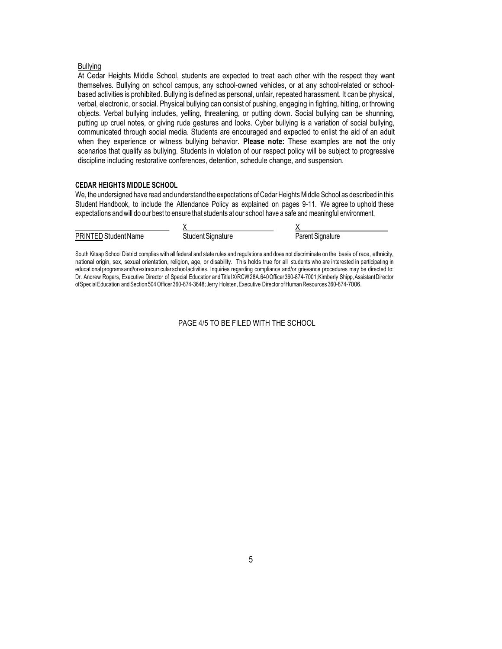## Bullying

At Cedar Heights Middle School, students are expected to treat each other with the respect they want themselves. Bullying on school campus, any school-owned vehicles, or at any school-related or schoolbased activities is prohibited. Bullying is defined as personal, unfair, repeated harassment. It can be physical, verbal, electronic, or social. Physical bullying can consist of pushing, engaging in fighting, hitting, or throwing objects. Verbal bullying includes, yelling, threatening, or putting down. Social bullying can be shunning, putting up cruel notes, or giving rude gestures and looks. Cyber bullying is a variation of social bullying, communicated through social media. Students are encouraged and expected to enlist the aid of an adult when they experience or witness bullying behavior. Please note: These examples are not the only scenarios that qualify as bullying. Students in violation of our respect policy will be subject to progressive discipline including restorative conferences, detention, schedule change, and suspension.

## CEDAR HEIGHTS MIDDLE SCHOOL

We, the undersigned have read and understand the expectations of Cedar Heights Middle School as described in this Student Handbook, to include the Attendance Policy as explained on pages 9-11. We agree to uphold these expectations and will do our best to ensure that students at our school have a safe and meaningful environment.

| <b>PRINT</b><br>ים חו.<br>'nı Name<br>.<br>. | student<br>Sionature | Parent Signature. |
|----------------------------------------------|----------------------|-------------------|

South Kitsap School District complies with all federal and state rules and regulations and does not discriminate on the basis of race, ethnicity, national origin, sex, sexual orientation, religion, age, or disability. This holds true for all students who are interested in participating in educational programs and/or extracurricular school activities. Inquiries regarding compliance and/or grievance procedures may be directed to: Dr. Andrew Rogers, Executive Director of Special Education and Title IX/RCW 28A.640 Officer 360-874-7001; Kimberly Shipp, Assistant Director of Special Education and Section 504 Officer 360-874-3648; Jerry Holsten, Executive Director of Human Resources 360-874-7006.

PAGE 4/5 TO BE FILED WITH THE SCHOOL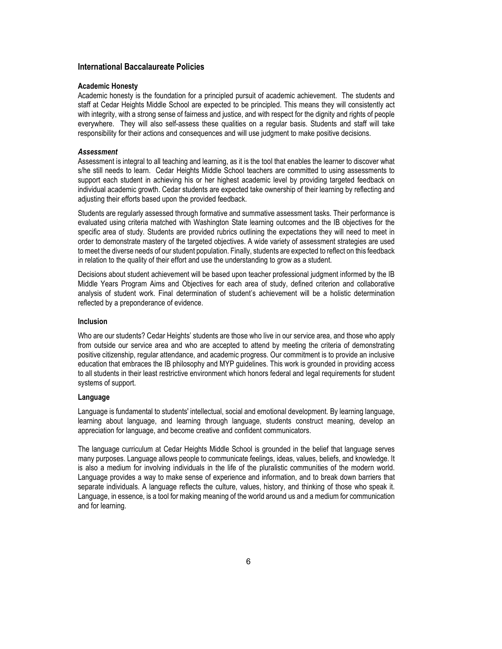## International Baccalaureate Policies

#### Academic Honesty

Academic honesty is the foundation for a principled pursuit of academic achievement. The students and staff at Cedar Heights Middle School are expected to be principled. This means they will consistently act with integrity, with a strong sense of fairness and justice, and with respect for the dignity and rights of people everywhere. They will also self-assess these qualities on a regular basis. Students and staff will take responsibility for their actions and consequences and will use judgment to make positive decisions.

#### Assessment

Assessment is integral to all teaching and learning, as it is the tool that enables the learner to discover what s/he still needs to learn. Cedar Heights Middle School teachers are committed to using assessments to support each student in achieving his or her highest academic level by providing targeted feedback on individual academic growth. Cedar students are expected take ownership of their learning by reflecting and adjusting their efforts based upon the provided feedback.

Students are regularly assessed through formative and summative assessment tasks. Their performance is evaluated using criteria matched with Washington State learning outcomes and the IB objectives for the specific area of study. Students are provided rubrics outlining the expectations they will need to meet in order to demonstrate mastery of the targeted objectives. A wide variety of assessment strategies are used to meet the diverse needs of our student population. Finally, students are expected to reflect on this feedback in relation to the quality of their effort and use the understanding to grow as a student.

Decisions about student achievement will be based upon teacher professional judgment informed by the IB Middle Years Program Aims and Objectives for each area of study, defined criterion and collaborative analysis of student work. Final determination of student's achievement will be a holistic determination reflected by a preponderance of evidence.

### Inclusion

Who are our students? Cedar Heights' students are those who live in our service area, and those who apply from outside our service area and who are accepted to attend by meeting the criteria of demonstrating positive citizenship, regular attendance, and academic progress. Our commitment is to provide an inclusive education that embraces the IB philosophy and MYP guidelines. This work is grounded in providing access to all students in their least restrictive environment which honors federal and legal requirements for student systems of support.

#### Language

Language is fundamental to students' intellectual, social and emotional development. By learning language, learning about language, and learning through language, students construct meaning, develop an appreciation for language, and become creative and confident communicators.

The language curriculum at Cedar Heights Middle School is grounded in the belief that language serves many purposes. Language allows people to communicate feelings, ideas, values, beliefs, and knowledge. It is also a medium for involving individuals in the life of the pluralistic communities of the modern world. Language provides a way to make sense of experience and information, and to break down barriers that separate individuals. A language reflects the culture, values, history, and thinking of those who speak it. Language, in essence, is a tool for making meaning of the world around us and a medium for communication and for learning.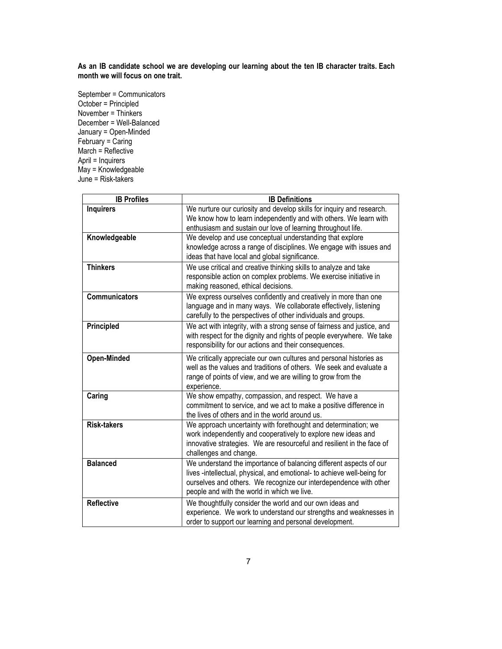As an IB candidate school we are developing our learning about the ten IB character traits. Each month we will focus on one trait.

September = Communicators October = Principled November = Thinkers December = Well-Balanced January = Open-Minded February = Caring March = Reflective April = Inquirers May = Knowledgeable June = Risk-takers

| <b>IB Profiles</b>   | <b>IB Definitions</b>                                                                                                                                                                                                                                             |
|----------------------|-------------------------------------------------------------------------------------------------------------------------------------------------------------------------------------------------------------------------------------------------------------------|
| <b>Inquirers</b>     | We nurture our curiosity and develop skills for inquiry and research.<br>We know how to learn independently and with others. We learn with<br>enthusiasm and sustain our love of learning throughout life.                                                        |
| Knowledgeable        | We develop and use conceptual understanding that explore<br>knowledge across a range of disciplines. We engage with issues and<br>ideas that have local and global significance.                                                                                  |
| <b>Thinkers</b>      | We use critical and creative thinking skills to analyze and take<br>responsible action on complex problems. We exercise initiative in<br>making reasoned, ethical decisions.                                                                                      |
| <b>Communicators</b> | We express ourselves confidently and creatively in more than one<br>language and in many ways. We collaborate effectively, listening<br>carefully to the perspectives of other individuals and groups.                                                            |
| Principled           | We act with integrity, with a strong sense of fairness and justice, and<br>with respect for the dignity and rights of people everywhere. We take<br>responsibility for our actions and their consequences.                                                        |
| Open-Minded          | We critically appreciate our own cultures and personal histories as<br>well as the values and traditions of others. We seek and evaluate a<br>range of points of view, and we are willing to grow from the<br>experience.                                         |
| Caring               | We show empathy, compassion, and respect. We have a<br>commitment to service, and we act to make a positive difference in<br>the lives of others and in the world around us.                                                                                      |
| <b>Risk-takers</b>   | We approach uncertainty with forethought and determination; we<br>work independently and cooperatively to explore new ideas and<br>innovative strategies. We are resourceful and resilient in the face of<br>challenges and change.                               |
| <b>Balanced</b>      | We understand the importance of balancing different aspects of our<br>lives -intellectual, physical, and emotional- to achieve well-being for<br>ourselves and others. We recognize our interdependence with other<br>people and with the world in which we live. |
| <b>Reflective</b>    | We thoughtfully consider the world and our own ideas and<br>experience. We work to understand our strengths and weaknesses in<br>order to support our learning and personal development.                                                                          |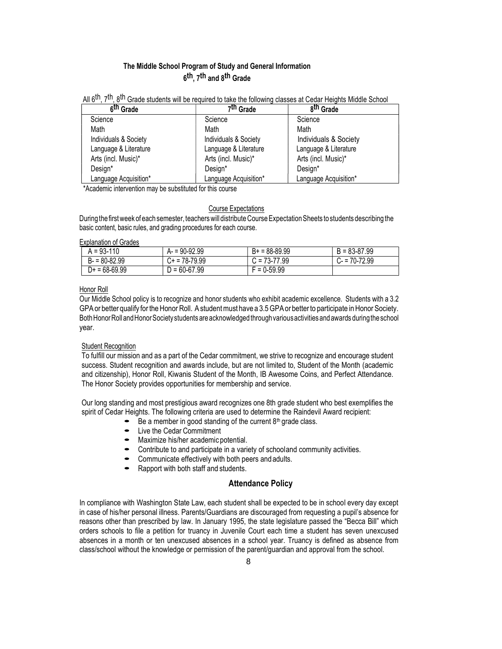## The Middle School Program of Study and General Information 6 th, 7th and 8th Grade

| All of the computation will be required to take the following classes at Gegal Heights Mildule School. All of t |                                                |                       |  |
|-----------------------------------------------------------------------------------------------------------------|------------------------------------------------|-----------------------|--|
| 6 <sup>th</sup> Grade                                                                                           | 7 <sup>th</sup> Grade<br>8 <sup>th</sup> Grade |                       |  |
| Science                                                                                                         | Science                                        | Science               |  |
| Math                                                                                                            | Math                                           | Math                  |  |
| Individuals & Society                                                                                           | Individuals & Society                          | Individuals & Society |  |
| Language & Literature                                                                                           | Language & Literature                          | Language & Literature |  |
| Arts (incl. Music)*                                                                                             | Arts (incl. Music)*                            | Arts (incl. Music)*   |  |
| Design*                                                                                                         | Design*                                        | Desian*               |  |
| Language Acquisition*                                                                                           | Language Acquisition*                          | Language Acquisition* |  |

All 6th, 7th, 8th Grade students will be required to take the following classes at Cedar Heights Middle School

\*Academic intervention may be substituted for this course

### Course Expectations

During the first week of each semester, teachers will distribute Course Expectation Sheets to students describing the basic content, basic rules, and grading procedures for each course.

#### Explanation of Grades

| . = 93-110       | $= 90 - 92.99$<br>$A - 5$                                               | $= 88 - 89.99$<br>B+                                         | $= 83 - 87.99$                                                 |
|------------------|-------------------------------------------------------------------------|--------------------------------------------------------------|----------------------------------------------------------------|
| $B = 80 - 82.99$ | 78-79.99<br>$\overline{\phantom{a}}$<br>ÜŦ.<br>$\overline{\phantom{a}}$ | $-77.99$<br>$\overline{\phantom{a}}$<br>17. ا-د،<br>$\sim$ – | /0-72.99<br>70<br>$\overline{\phantom{0}}$<br>. . <del>.</del> |
| $D+ = 68-69.99$  | $= 60 - 67.99$<br>◡                                                     | $= 0.59.99$                                                  |                                                                |

### Honor Roll

Our Middle School policy is to recognize and honor students who exhibit academic excellence. Students with a 3.2 GPA or better qualify for the Honor Roll. A student must have a 3.5 GPA or better to participate in Honor Society. Both Honor Roll and Honor Society students are acknowledged through various activities and awards during the school year.

## Student Recognition

To fulfill our mission and as a part of the Cedar commitment, we strive to recognize and encourage student success. Student recognition and awards include, but are not limited to, Student of the Month (academic and citizenship), Honor Roll, Kiwanis Student of the Month, IB Awesome Coins, and Perfect Attendance. The Honor Society provides opportunities for membership and service.

Our long standing and most prestigious award recognizes one 8th grade student who best exemplifies the spirit of Cedar Heights. The following criteria are used to determine the Raindevil Award recipient:<br>
• Be a member in good standing of the current 8<sup>th</sup> grade class.<br>
• Live the Cedar Commitment<br>
• Maximize his/her academ

- 
- 
- 
- 
- 
- 

## Attendance Policy

In compliance with Washington State Law, each student shall be expected to be in school every day except in case of his/her personal illness. Parents/Guardians are discouraged from requesting a pupil's absence for reasons other than prescribed by law. In January 1995, the state legislature passed the "Becca Bill" which orders schools to file a petition for truancy in Juvenile Court each time a student has seven unexcused absences in a month or ten unexcused absences in a school year. Truancy is defined as absence from class/school without the knowledge or permission of the parent/guardian and approval from the school.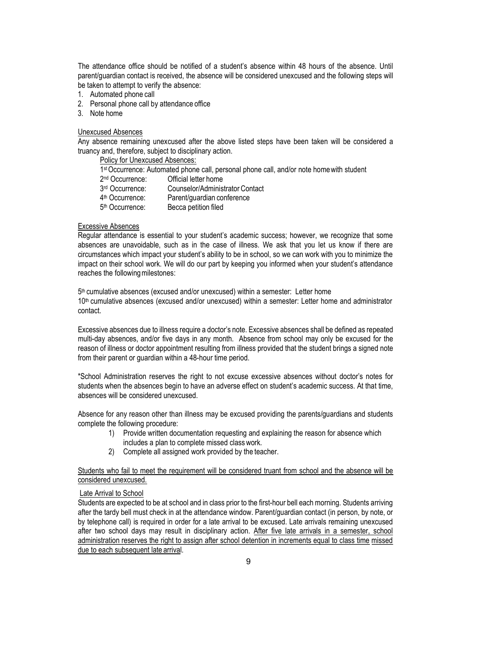The attendance office should be notified of a student's absence within 48 hours of the absence. Until parent/guardian contact is received, the absence will be considered unexcused and the following steps will be taken to attempt to verify the absence:

- 1. Automated phone call
- 2. Personal phone call by attendance office
- 3. Note home

## Unexcused Absences

Any absence remaining unexcused after the above listed steps have been taken will be considered a truancy and, therefore, subject to disciplinary action.

Policy for Unexcused Absences:

- 1 st Occurrence: Automated phone call, personal phone call, and/or note home with student
- 2<sup>nd</sup> Occurrence: Official letter home
- 3rd Occurrence: Counselor/Administrator Contact
- 4<sup>th</sup> Occurrence: Parent/guardian conference
- 5<sup>th</sup> Occurrence: Becca petition filed

### Excessive Absences

Regular attendance is essential to your student's academic success; however, we recognize that some absences are unavoidable, such as in the case of illness. We ask that you let us know if there are circumstances which impact your student's ability to be in school, so we can work with you to minimize the impact on their school work. We will do our part by keeping you informed when your student's attendance reaches the following milestones:

5 th cumulative absences (excused and/or unexcused) within a semester: Letter home 10<sup>th</sup> cumulative absences (excused and/or unexcused) within a semester: Letter home and administrator contact.

Excessive absences due to illness require a doctor's note. Excessive absences shall be defined as repeated multi-day absences, and/or five days in any month. Absence from school may only be excused for the reason of illness or doctor appointment resulting from illness provided that the student brings a signed note from their parent or guardian within a 48-hour time period.

\*School Administration reserves the right to not excuse excessive absences without doctor's notes for students when the absences begin to have an adverse effect on student's academic success. At that time, absences will be considered unexcused.

Absence for any reason other than illness may be excused providing the parents/guardians and students complete the following procedure:

- 1) Provide written documentation requesting and explaining the reason for absence which includes a plan to complete missed class work.
- 2) Complete all assigned work provided by the teacher.

Students who fail to meet the requirement will be considered truant from school and the absence will be considered unexcused.

#### Late Arrival to School

Students are expected to be at school and in class prior to the first-hour bell each morning. Students arriving after the tardy bell must check in at the attendance window. Parent/guardian contact (in person, by note, or by telephone call) is required in order for a late arrival to be excused. Late arrivals remaining unexcused after two school days may result in disciplinary action. After five late arrivals in a semester, school administration reserves the right to assign after school detention in increments equal to class time missed due to each subsequent late arrival.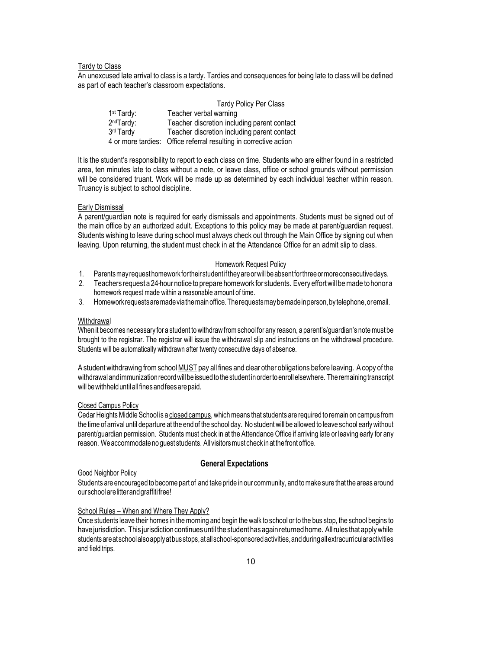#### Tardy to Class

An unexcused late arrival to class is a tardy. Tardies and consequences for being late to class will be defined as part of each teacher's classroom expectations.

|                        | <b>Tardy Policy Per Class</b>                                     |
|------------------------|-------------------------------------------------------------------|
| 1 <sup>st</sup> Tardy: | Teacher verbal warning                                            |
| 2 <sup>nd</sup> Tardy: | Teacher discretion including parent contact                       |
| 3rd Tardy              | Teacher discretion including parent contact                       |
|                        | 4 or more tardies: Office referral resulting in corrective action |

It is the student's responsibility to report to each class on time. Students who are either found in a restricted area, ten minutes late to class without a note, or leave class, office or school grounds without permission will be considered truant. Work will be made up as determined by each individual teacher within reason. Truancy is subject to school discipline.

#### Early Dismissal

A parent/guardian note is required for early dismissals and appointments. Students must be signed out of the main office by an authorized adult. Exceptions to this policy may be made at parent/guardian request. Students wishing to leave during school must always check out through the Main Office by signing out when leaving. Upon returning, the student must check in at the Attendance Office for an admit slip to class.

#### Homework Request Policy

- 1. Parents may request homework for their student if they are or will be absent for three or more consecutive days.
- 2. Teachers request a 24-hour notice to prepare homework for students. Every effort will be made to honor a homework request made within a reasonable amount of time.
- 3. Homework requests are made via the main office. The requests may be made in person, by telephone, or email.

### **Withdrawal**

When it becomes necessary for a student to withdraw from school for any reason, a parent's/guardian's note must be brought to the registrar. The registrar will issue the withdrawal slip and instructions on the withdrawal procedure. Students will be automatically withdrawn after twenty consecutive days of absence.

A student withdrawing from school MUST pay all fines and clear other obligations before leaving. A copy of the withdrawal and immunization record will be issued to the student in order to enroll elsewhere. The remaining transcript will be withheld until all fines and fees are paid.

### Closed Campus Policy

Cedar Heights Middle School is a closed campus, which means that students are required to remain on campus from the time of arrival until departure at the end of the school day. No student will be allowed to leave school early without parent/guardian permission. Students must check in at the Attendance Office if arriving late or leaving early for any reason. We accommodate no guest students. All visitors must check in at the front office.

#### Good Neighbor Policy

## General Expectations

Students are encouraged to become part of and take pride in our community, and to make sure that the areas around our school are litter and graffiti free!

## School Rules – When and Where They Apply?

Once students leave their homes in the morning and begin the walk to school or to the bus stop, the school begins to have jurisdiction. This jurisdiction continues until the student has again returned home. All rules that apply while students are at school also apply at bus stops, at all school-sponsored activities, and during all extracurricular activities and field trips.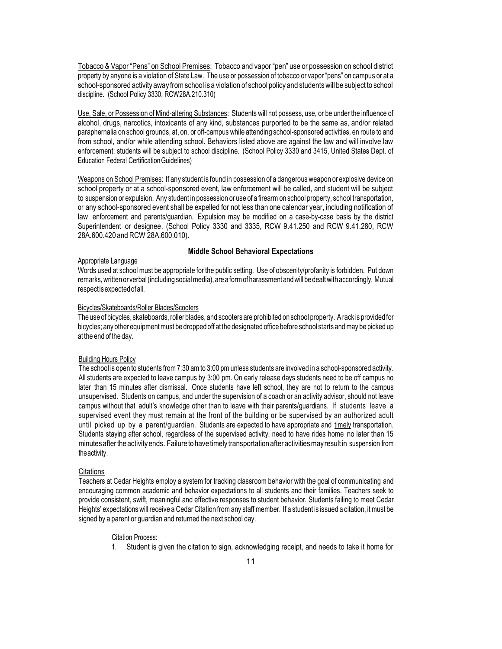Tobacco & Vapor "Pens" on School Premises: Tobacco and vapor "pen" use or possession on school district property by anyone is a violation of State Law. The use or possession of tobacco or vapor "pens" on campus or at a school-sponsored activity away from school is a violation of school policy and students will be subject to school discipline. (School Policy 3330, RCW 28A.210.310)

Use, Sale, or Possession of Mind-altering Substances: Students will not possess, use, or be under the influence of alcohol, drugs, narcotics, intoxicants of any kind, substances purported to be the same as, and/or related paraphernalia on school grounds, at, on, or off-campus while attending school-sponsored activities, en route to and from school, and/or while attending school. Behaviors listed above are against the law and will involve law enforcement; students will be subject to school discipline. (School Policy 3330 and 3415, United States Dept. of Education Federal Certification Guidelines)

Weapons on School Premises: If any student is found in possession of a dangerous weapon or explosive device on school property or at a school-sponsored event, law enforcement will be called, and student will be subject to suspension or expulsion. Any student in possession or use of a firearm on school property, school transportation, or any school-sponsored event shall be expelled for not less than one calendar year, including notification of law enforcement and parents/guardian. Expulsion may be modified on a case-by-case basis by the district Superintendent or designee. (School Policy 3330 and 3335, RCW 9.41.250 and RCW 9.41.280, RCW 28A.600.420 and RCW 28A.600.010).

## Middle School Behavioral Expectations

#### Appropriate Language

Words used at school must be appropriate for the public setting. Use of obscenity/profanity is forbidden. Put down remarks, written or verbal (including social media), are a form of harassment and will be dealt with accordingly. Mutual respect is expected of all.

#### Bicycles/Skateboards/Roller Blades/Scooters

The use of bicycles, skateboards, roller blades, and scooters are prohibited on school property. A rack is provided for bicycles; any other equipment must be dropped off at the designated office before school starts and may be picked up at the end of the day.

### Building Hours Policy

The school is open to students from 7:30 am to 3:00 pm unless students are involved in a school-sponsored activity. All students are expected to leave campus by 3:00 pm. On early release days students need to be off campus no later than 15 minutes after dismissal. Once students have left school, they are not to return to the campus unsupervised. Students on campus, and under the supervision of a coach or an activity advisor, should not leave campus without that adult's knowledge other than to leave with their parents/guardians. If students leave a supervised event they must remain at the front of the building or be supervised by an authorized adult until picked up by a parent/guardian. Students are expected to have appropriate and timely transportation. Students staying after school, regardless of the supervised activity, need to have rides home no later than 15 minutes after the activity ends. Failure to have timely transportation after activities may result in suspension from the activity.

#### **Citations**

Teachers at Cedar Heights employ a system for tracking classroom behavior with the goal of communicating and encouraging common academic and behavior expectations to all students and their families. Teachers seek to provide consistent, swift, meaningful and effective responses to student behavior. Students failing to meet Cedar Heights' expectations will receive a Cedar Citation from any staff member. If a student is issued a citation, it must be signed by a parent or guardian and returned the next school day.

### Citation Process:

1. Student is given the citation to sign, acknowledging receipt, and needs to take it home for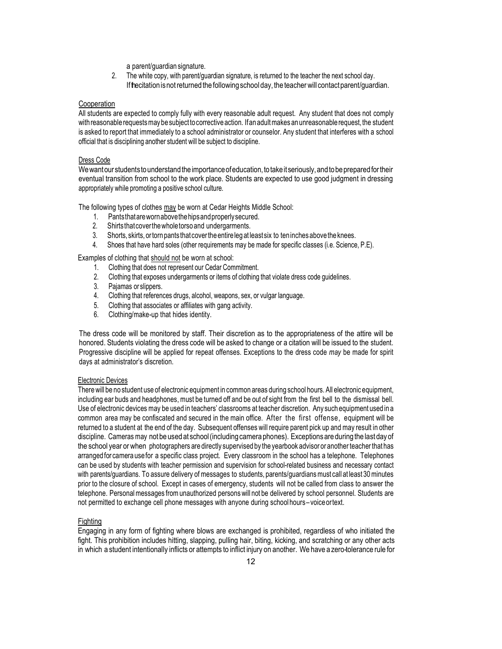a parent/guardian signature.

2. The white copy, with parent/guardian signature, is returned to the teacher the next school day. If the citation is not returned the following school day, the teacher will contact parent/guardian.

## **Cooperation**

All students are expected to comply fully with every reasonable adult request. Any student that does not comply with reasonable requests may be subject to corrective action. If an adult makes an unreasonable request, the student is asked to report that immediately to a school administrator or counselor. Any student that interferes with a school official that is disciplining another student will be subject to discipline.

## Dress Code

We want our students to understand the importance of education, to take it seriously, and to be prepared for their eventual transition from school to the work place. Students are expected to use good judgment in dressing appropriately while promoting a positive school culture.

The following types of clothes may be worn at Cedar Heights Middle School:

- 1. Pants that are worn above the hips and properly secured.
- 2. Shirts that cover the whole torso and undergarments.
- 3. Shorts, skirts, or torn pants that cover the entire leg at least six to ten inches above the knees.
- 4. Shoes that have hard soles (other requirements may be made for specific classes (i.e. Science, P.E).

Examples of clothing that should not be worn at school:

- 1. Clothing that does not represent our Cedar Commitment.
- 2. Clothing that exposes undergarments or items of clothing that violate dress code guidelines.
- 3. Pajamas or slippers.
- 4. Clothing that references drugs, alcohol, weapons, sex, or vulgar language.
- 5. Clothing that associates or affiliates with gang activity.
- 6. Clothing/make-up that hides identity.

The dress code will be monitored by staff. Their discretion as to the appropriateness of the attire will be honored. Students violating the dress code will be asked to change or a citation will be issued to the student. Progressive discipline will be applied for repeat offenses. Exceptions to the dress code may be made for spirit days at administrator's discretion.

## Electronic Devices

There will be no student use of electronic equipment in common areas during school hours. All electronic equipment, including ear buds and headphones, must be turned off and be out of sight from the first bell to the dismissal bell. Use of electronic devices may be used in teachers' classrooms at teacher discretion. Any such equipment used in a common area may be confiscated and secured in the main office. After the first offense, equipment will be returned to a student at the end of the day. Subsequent offenses will require parent pick up and may result in other discipline. Cameras may not be used at school (including camera phones). Exceptions are during the last day of the school year or when photographers are directly supervised by the yearbook advisor or another teacher that has arranged for camera use for a specific class project. Every classroom in the school has a telephone. Telephones can be used by students with teacher permission and supervision for school-related business and necessary contact with parents/guardians. To assure delivery of messages to students, parents/guardians must call at least 30 minutes prior to the closure of school. Except in cases of emergency, students will not be called from class to answer the telephone. Personal messages from unauthorized persons will not be delivered by school personnel. Students are not permitted to exchange cell phone messages with anyone during school hours – voice or text.

## Fighting

Engaging in any form of fighting where blows are exchanged is prohibited, regardless of who initiated the fight. This prohibition includes hitting, slapping, pulling hair, biting, kicking, and scratching or any other acts in which a student intentionally inflicts or attempts to inflict injury on another. We have a zero-tolerance rule for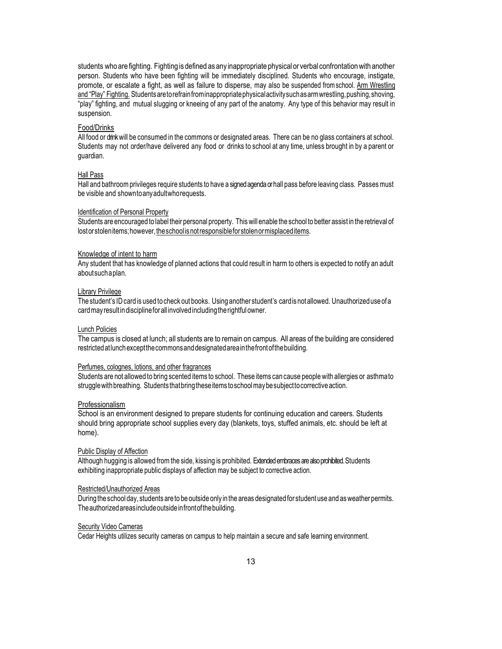students who are fighting. Fighting is defined as any inappropriate physical or verbal confrontation with another person. Students who have been fighting will be immediately disciplined. Students who encourage, instigate, promote, or escalate a fight, as well as failure to disperse, may also be suspended from school. Arm Wrestling and "Play" Fighting. Students are to refrain from inappropriate physical activity such as arm wrestling, pushing, shoving, "play" fighting, and mutual slugging or kneeing of any part of the anatomy. Any type of this behavior may result in suspension.

## Food/Drinks

All food or drink will be consumed in the commons or designated areas. There can be no glass containers at school. Students may not order/have delivered any food or drinks to school at any time, unless brought in by a parent or guardian.

### Hall Pass

Hall and bathroom privileges require students to have a signed agenda or hall pass before leaving class. Passes must be visible and shown to any adult who requests.

#### Identification of Personal Property

Students are encouraged to label their personal property. This will enable the school to better assist in the retrieval of lost or stolen items; however, the school is not responsible for stolen or misplaced items.

#### Knowledge of intent to harm

Any student that has knowledge of planned actions that could result in harm to others is expected to notify an adult about such a plan.

#### Library Privilege

The student's ID card is used to check out books. Using another student's card is not allowed. Unauthorized use of a card may result in discipline for all involved including the rightful owner.

### Lunch Policies

The campus is closed at lunch; all students are to remain on campus. All areas of the building are considered restricted at lunch except the commons and designated area in the front of the building.

#### Perfumes, colognes, lotions, and other fragrances

Students are not allowed to bring scented items to school. These items can cause people with allergies or asthma to struggle with breathing. Students that bring these items to school may be subject to corrective action.

### Professionalism

School is an environment designed to prepare students for continuing education and careers. Students should bring appropriate school supplies every day (blankets, toys, stuffed animals, etc. should be left at home).

#### Public Display of Affection

Although hugging is allowed from the side, kissing is prohibited. Extended embraces are also prohibited. Students exhibiting inappropriate public displays of affection may be subject to corrective action.

#### Restricted/Unauthorized Areas

During the school day, students are to be outside only in the areas designated for student use and as weather permits. The authorized areas include outside in front of the building.

### Security Video Cameras

Cedar Heights utilizes security cameras on campus to help maintain a secure and safe learning environment.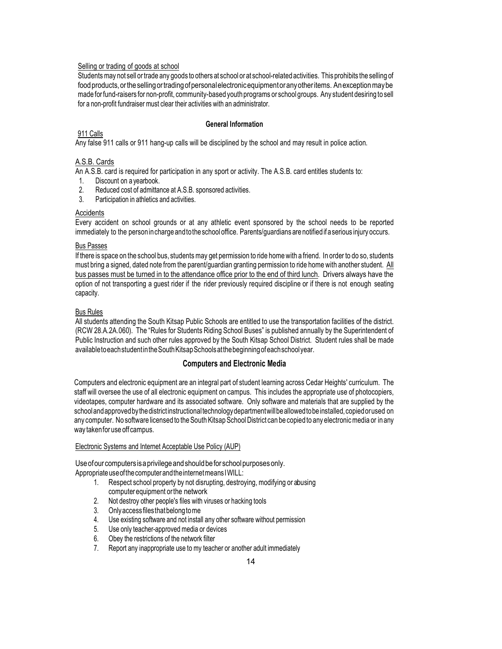## Selling or trading of goods at school

Students may not sell or trade any goods to others at school or at school-related activities. This prohibits the selling of food products, or the selling or trading of personal electronic equipment or any other items. An exception may be made for fund-raisers for non-profit, community-based youth programs or school groups. Any student desiring to sell for a non-profit fundraiser must clear their activities with an administrator.

## General Information

## 911 Calls

Any false 911 calls or 911 hang-up calls will be disciplined by the school and may result in police action.

## A.S.B. Cards

An A.S.B. card is required for participation in any sport or activity. The A.S.B. card entitles students to:

- 1. Discount on a yearbook.
- 2. Reduced cost of admittance at A.S.B. sponsored activities.
- 3. Participation in athletics and activities.

## **Accidents**

Every accident on school grounds or at any athletic event sponsored by the school needs to be reported immediately to the person in charge and to the school office. Parents/guardians are notified if a serious injury occurs.

## Bus Passes

If there is space on the school bus, students may get permission to ride home with a friend. In order to do so, students must bring a signed, dated note from the parent/guardian granting permission to ride home with another student. All bus passes must be turned in to the attendance office prior to the end of third lunch. Drivers always have the option of not transporting a guest rider if the rider previously required discipline or if there is not enough seating capacity.

## Bus Rules

All students attending the South Kitsap Public Schools are entitled to use the transportation facilities of the district. (RCW 28.A.2A.060). The "Rules for Students Riding School Buses" is published annually by the Superintendent of Public Instruction and such other rules approved by the South Kitsap School District. Student rules shall be made available to each student in the South Kitsap Schools at the beginning of each school year.

## Computers and Electronic Media

Computers and electronic equipment are an integral part of student learning across Cedar Heights' curriculum. The staff will oversee the use of all electronic equipment on campus. This includes the appropriate use of photocopiers, videotapes, computer hardware and its associated software. Only software and materials that are supplied by the school and approved by the district instructional technology department will be allowed to be installed, copied or used on any computer. No software licensed to the South Kitsap School District can be copied to any electronic media or in any way taken for use off campus.

## Electronic Systems and Internet Acceptable Use Policy (AUP)

Use of our computers is a privilege and should be for school purposes only. Appropriate use of the computer and the internet means I WILL:

- 1. Respect school property by not disrupting, destroying, modifying or abusing computer equipment or the network
- 2. Not destroy other people's files with viruses or hacking tools
- 3. Only access files that belong to me
- 4. Use existing software and not install any other software without permission
- 5. Use only teacher-approved media or devices
- 6. Obey the restrictions of the network filter
- 7. Report any inappropriate use to my teacher or another adult immediately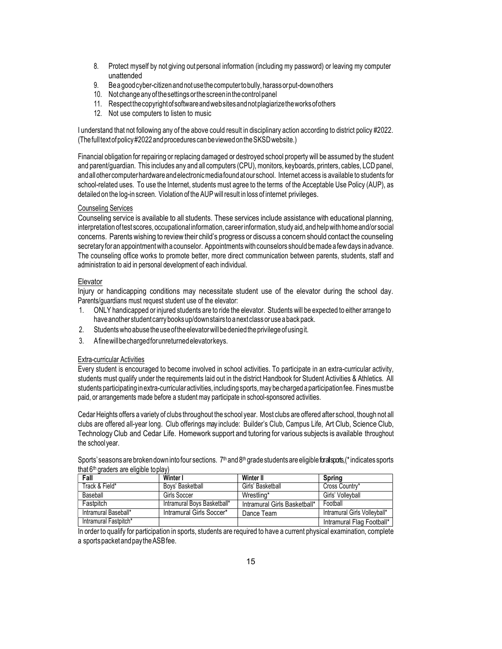- 8. Protect myself by not giving out personal information (including my password) or leaving my computer unattended
- 9. Be a good cyber-citizen and not use the computer to bully, harass or put-down others
- 10. Not change any of the settings or the screen in the control panel
- 11. Respect the copyright of software and web sites and not plagiarize the works of others
- 12. Not use computers to listen to music

I understand that not following any of the above could result in disciplinary action according to district policy #2022. (The full text of policy #2022 and procedures can be viewed on the SKSD website.)

Financial obligation for repairing or replacing damaged or destroyed school property will be assumed by the student and parent/guardian. This includes any and all computers (CPU), monitors, keyboards, printers, cables, LCD panel, and all other computer hardware and electronic media found at our school. Internet access is available to students for school-related uses. To use the Internet, students must agree to the terms of the Acceptable Use Policy (AUP), as detailed on the log-in screen. Violation of the AUP will result in loss of internet privileges.

## Counseling Services

Counseling service is available to all students. These services include assistance with educational planning, interpretation of test scores, occupational information, career information, study aid, and help with home and/or social concerns. Parents wishing to review their child's progress or discuss a concern should contact the counseling secretary for an appointment with a counselor. Appointments with counselors should be made a few days in advance. The counseling office works to promote better, more direct communication between parents, students, staff and administration to aid in personal development of each individual.

## Elevator

Injury or handicapping conditions may necessitate student use of the elevator during the school day. Parents/guardians must request student use of the elevator:

- 1. ONLY handicapped or injured students are to ride the elevator. Students will be expected to either arrange to have another student carry books up/down stairs to a next class or use a back pack.
- 2. Students who abuse the use of the elevator will be denied the privilege of using it.
- 3. A fine will be charged for unreturned elevator keys.

## Extra-curricular Activities

Every student is encouraged to become involved in school activities. To participate in an extra-curricular activity, students must qualify under the requirements laid out in the district Handbook for Student Activities & Athletics. All students participating in extra-curricular activities, including sports, may be charged a participation fee. Fines must be paid, or arrangements made before a student may participate in school-sponsored activities.

Cedar Heights offers a variety of clubs throughout the school year. Most clubs are offered after school, though not all clubs are offered all-year long. Club offerings may include: Builder's Club, Campus Life, Art Club, Science Club, Technology Club and Cedar Life. Homework support and tutoring for various subjects is available throughout the school year.

Sports' seasons are broken down into four sections.  $7<sup>th</sup>$  and  $8<sup>th</sup>$  grade students are eligible for al sports, (\* indicates sports that 6th graders are eligible to play)

| Fall                  | Winter I                    | Winter II                    | <b>Spring</b>                |
|-----------------------|-----------------------------|------------------------------|------------------------------|
| Track & Field*        | Bovs' Basketball            | Girls' Basketball            | Cross Country*               |
| Baseball              | Girls Soccer                | Wrestling*                   | Girls' Vollevball            |
| Fastpitch             | Intramural Bovs Basketball* | Intramural Girls Basketball* | Football                     |
| Intramural Baseball*  | Intramural Girls Soccer*    | Dance Team                   | Intramural Girls Vollevball* |
| Intramural Fastpitch* |                             |                              | Intramural Flag Football*    |

In order to qualify for participation in sports, students are required to have a current physical examination, complete a sports packet and pay the ASB fee.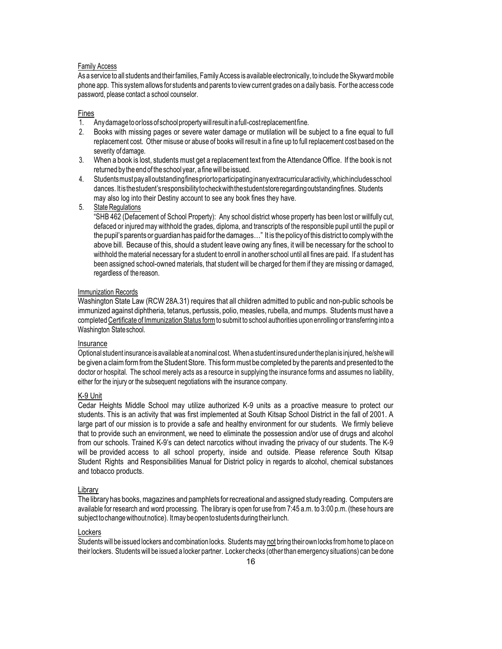### Family Access

As a service to all students and their families, Family Access is available electronically, to include the Skyward mobile phone app. This system allows for students and parents to view current grades on a daily basis. For the access code password, please contact a school counselor.

### Fines

- 1. Any damage to or loss of school property will result in a full-cost replacement fine.
- 2. Books with missing pages or severe water damage or mutilation will be subject to a fine equal to full replacement cost. Other misuse or abuse of books will result in a fine up to full replacement cost based on the severity of damage.
- 3. When a book is lost, students must get a replacement text from the Attendance Office. If the book is not returned by the end of the school year, a fine will be issued.
- 4. Students must pay all outstanding fines prior to participating in any extracurricular activity, which includes school dances. It is the student's responsibility to check with the student store regarding outstanding fines. Students may also log into their Destiny account to see any book fines they have.
- 5. State Regulations

"SHB 462 (Defacement of School Property): Any school district whose property has been lost or willfully cut, defaced or injured may withhold the grades, diploma, and transcripts of the responsible pupil until the pupil or the pupil's parents or guardian has paid for the damages…" It is the policy of this district to comply with the above bill. Because of this, should a student leave owing any fines, it will be necessary for the school to withhold the material necessary for a student to enroll in another school until all fines are paid. If a student has been assigned school-owned materials, that student will be charged for them if they are missing or damaged, regardless of the reason.

#### Immunization Records

Washington State Law (RCW 28A.31) requires that all children admitted to public and non-public schools be immunized against diphtheria, tetanus, pertussis, polio, measles, rubella, and mumps. Students must have a completed Certificate of Immunization Status form to submit to school authorities upon enrolling or transferring into a Washington State school.

#### Insurance

Optional student insurance is available at a nominal cost. When a student insured under the plan is injured, he/she will be given a claim form from the Student Store. This form must be completed by the parents and presented to the doctor or hospital. The school merely acts as a resource in supplying the insurance forms and assumes no liability, either for the injury or the subsequent negotiations with the insurance company.

### K-9 Unit

Cedar Heights Middle School may utilize authorized K-9 units as a proactive measure to protect our students. This is an activity that was first implemented at South Kitsap School District in the fall of 2001. A large part of our mission is to provide a safe and healthy environment for our students. We firmly believe that to provide such an environment, we need to eliminate the possession and/or use of drugs and alcohol from our schools. Trained K-9's can detect narcotics without invading the privacy of our students. The K-9 will be provided access to all school property, inside and outside. Please reference South Kitsap Student Rights and Responsibilities Manual for District policy in regards to alcohol, chemical substances and tobacco products.

#### Library

The library has books, magazines and pamphlets for recreational and assigned study reading. Computers are available for research and word processing. The library is open for use from 7:45 a.m. to 3:00 p.m. (these hours are subject to change without notice). It may be open to students during their lunch.

#### Lockers

Students will be issued lockers and combination locks. Students may not bring their own locks from home to place on their lockers. Students will be issued a locker partner. Locker checks (other than emergency situations) can be done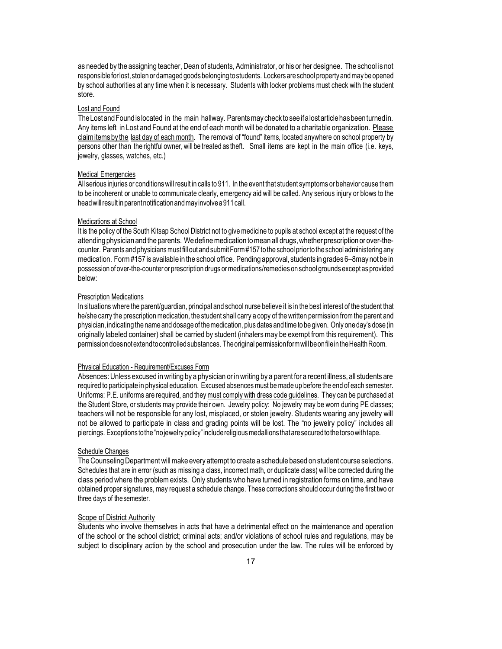as needed by the assigning teacher, Dean of students, Administrator, or his or her designee. The school is not responsible for lost, stolen or damaged goods belonging to students. Lockers are school property and may be opened by school authorities at any time when it is necessary. Students with locker problems must check with the student store.

## Lost and Found

The Lost and Found is located in the main hallway. Parents may check to see if a lost article has been turned in. Any items left in Lost and Found at the end of each month will be donated to a charitable organization. Please claim items by the last day of each month. The removal of "found" items, located anywhere on school property by persons other than the rightful owner, will be treated as theft. Small items are kept in the main office (i.e. keys, jewelry, glasses, watches, etc.)

#### Medical Emergencies

All serious injuries or conditions will result in calls to 911. In the event that student symptoms or behavior cause them to be incoherent or unable to communicate clearly, emergency aid will be called. Any serious injury or blows to the head will result in parent notification and may involve a 911 call.

#### Medications at School

It is the policy of the South Kitsap School District not to give medicine to pupils at school except at the request of the attending physician and the parents. We define medication to mean all drugs, whether prescription or over-thecounter. Parents and physicians must fill out and submit Form #157 to the school prior to the school administering any medication. Form #157 is available in the school office. Pending approval, students in grades 6 – 8 may not be in possession of over-the-counter or prescription drugs or medications/remedies on school grounds except as provided below:

## Prescription Medications

In situations where the parent/guardian, principal and school nurse believe it is in the best interest of the student that he/she carry the prescription medication, the student shall carry a copy of the written permission from the parent and physician, indicating the name and dosage of the medication, plus dates and time to be given. Only one day's dose (in originally labeled container) shall be carried by student (inhalers may be exempt from this requirement). This permission does not extend to controlled substances. The original permission form will be on file in the Health Room.

#### Physical Education - Requirement/Excuses Form

Absences: Unless excused in writing by a physician or in writing by a parent for a recent illness, all students are required to participate in physical education. Excused absences must be made up before the end of each semester. Uniforms: P.E. uniforms are required, and they must comply with dress code guidelines. They can be purchased at the Student Store, or students may provide their own. Jewelry policy: No jewelry may be worn during PE classes; teachers will not be responsible for any lost, misplaced, or stolen jewelry. Students wearing any jewelry will not be allowed to participate in class and grading points will be lost. The "no jewelry policy" includes all piercings. Exceptions to the "no jewelry policy" include religious medallions that are secured to the torso with tape.

#### Schedule Changes

The Counseling Department will make every attempt to create a schedule based on student course selections. Schedules that are in error (such as missing a class, incorrect math, or duplicate class) will be corrected during the class period where the problem exists. Only students who have turned in registration forms on time, and have obtained proper signatures, may request a schedule change. These corrections should occur during the first two or three days of the semester.

#### Scope of District Authority

Students who involve themselves in acts that have a detrimental effect on the maintenance and operation of the school or the school district; criminal acts; and/or violations of school rules and regulations, may be subject to disciplinary action by the school and prosecution under the law. The rules will be enforced by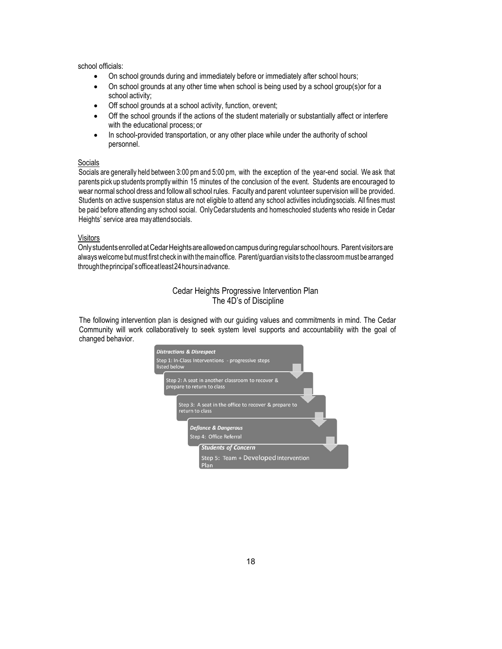school officials:

- On school grounds during and immediately before or immediately after school hours;
- On school grounds at any other time when school is being used by a school group(s)or for a school activity;
- Off school grounds at a school activity, function, or event;
- Off the school grounds if the actions of the student materially or substantially affect or interfere with the educational process; or
- In school-provided transportation, or any other place while under the authority of school personnel.

## Socials

Socials are generally held between 3:00 pm and 5:00 pm, with the exception of the year-end social. We ask that parents pick up students promptly within 15 minutes of the conclusion of the event. Students are encouraged to wear normal school dress and follow all school rules. Faculty and parent volunteer supervision will be provided. Students on active suspension status are not eligible to attend any school activities including socials. All fines must be paid before attending any school social. Only Cedar students and homeschooled students who reside in Cedar Heights' service area may attend socials.

### Visitors

Only students enrolled at Cedar Heights are allowed on campus during regular school hours. Parent visitors are always welcome but must first check in with the main office. Parent/guardian visits to the classroom must be arranged through the principal's office at least 24 hours in advance.

## Cedar Heights Progressive Intervention Plan The 4D's of Discipline

The following intervention plan is designed with our guiding values and commitments in mind. The Cedar Community will work collaboratively to seek system level supports and accountability with the goal of changed behavior.

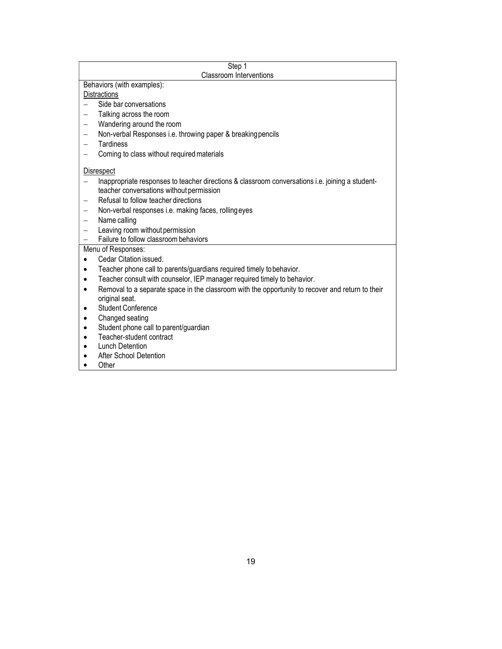| Step 1                                                                                                                          |  |
|---------------------------------------------------------------------------------------------------------------------------------|--|
| <b>Classroom Interventions</b>                                                                                                  |  |
| Behaviors (with examples):                                                                                                      |  |
| <b>Distractions</b>                                                                                                             |  |
| Side bar conversations                                                                                                          |  |
| Talking across the room                                                                                                         |  |
| Wandering around the room<br>$\overline{\phantom{0}}$                                                                           |  |
| Non-verbal Responses i.e. throwing paper & breaking pencils<br>-                                                                |  |
| <b>Tardiness</b><br>$\overline{\phantom{0}}$                                                                                    |  |
| Coming to class without required materials                                                                                      |  |
| <b>Disrespect</b>                                                                                                               |  |
| Inappropriate responses to teacher directions & classroom conversations i.e. joining a student-                                 |  |
| teacher conversations without permission                                                                                        |  |
| Refusal to follow teacher directions                                                                                            |  |
| Non-verbal responses i.e. making faces, rolling eyes<br>-                                                                       |  |
| Name calling<br>$\overline{\phantom{0}}$                                                                                        |  |
| Leaving room without permission                                                                                                 |  |
| Failure to follow classroom behaviors                                                                                           |  |
| Menu of Responses:                                                                                                              |  |
| Cedar Citation issued.<br>$\bullet$                                                                                             |  |
| Teacher phone call to parents/guardians required timely to behavior.<br>$\bullet$                                               |  |
| Teacher consult with counselor, IEP manager required timely to behavior.<br>٠                                                   |  |
| Removal to a separate space in the classroom with the opportunity to recover and return to their<br>$\bullet$<br>original seat. |  |
| <b>Student Conference</b><br>$\bullet$                                                                                          |  |
| Changed seating<br>$\bullet$                                                                                                    |  |
| Student phone call to parent/guardian                                                                                           |  |
| Teacher-student contract<br>٠                                                                                                   |  |
| <b>Lunch Detention</b>                                                                                                          |  |
| <b>After School Detention</b>                                                                                                   |  |
| Other                                                                                                                           |  |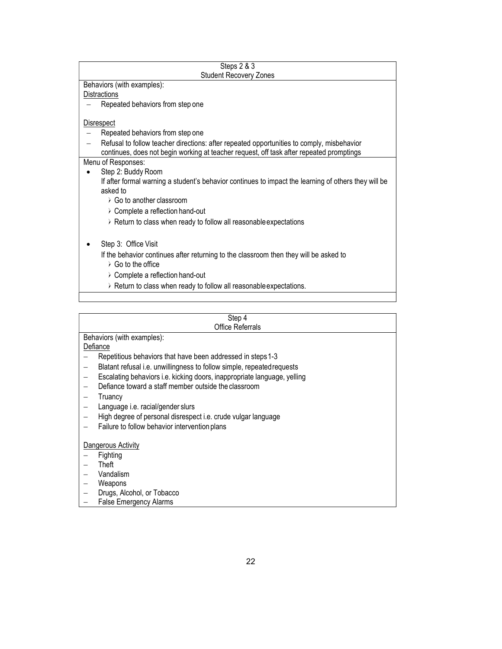| Steps 2 & 3                                                                                          |
|------------------------------------------------------------------------------------------------------|
| <b>Student Recovery Zones</b>                                                                        |
| Behaviors (with examples):                                                                           |
| <b>Distractions</b>                                                                                  |
| Repeated behaviors from step one                                                                     |
| Disrespect                                                                                           |
| Repeated behaviors from step one                                                                     |
| Refusal to follow teacher directions: after repeated opportunities to comply, misbehavior            |
| continues, does not begin working at teacher request, off task after repeated promptings             |
| Menu of Responses:                                                                                   |
| Step 2: Buddy Room<br>$\bullet$                                                                      |
| If after formal warning a student's behavior continues to impact the learning of others they will be |
| asked to                                                                                             |
| ≻ Go to another classroom                                                                            |
| > Complete a reflection hand-out                                                                     |
| > Return to class when ready to follow all reasonable expectations                                   |
|                                                                                                      |
| Step 3: Office Visit                                                                                 |
| If the behavior continues after returning to the classroom then they will be asked to                |
| → Go to the office                                                                                   |
| ≻ Complete a reflection hand-out                                                                     |
|                                                                                                      |
| > Return to class when ready to follow all reasonable expectations.                                  |
|                                                                                                      |

| Step 4                                                                   |                                                                        |  |  |
|--------------------------------------------------------------------------|------------------------------------------------------------------------|--|--|
| <b>Office Referrals</b>                                                  |                                                                        |  |  |
| Behaviors (with examples):                                               |                                                                        |  |  |
| Defiance                                                                 |                                                                        |  |  |
|                                                                          | Repetitious behaviors that have been addressed in steps 1-3            |  |  |
|                                                                          | Blatant refusal i.e. unwillingness to follow simple, repeated requests |  |  |
| Escalating behaviors i.e. kicking doors, inappropriate language, yelling |                                                                        |  |  |
|                                                                          | Defiance toward a staff member outside the classroom                   |  |  |
|                                                                          | Truancy                                                                |  |  |
|                                                                          | Language i.e. racial/gender slurs                                      |  |  |
|                                                                          | High degree of personal disrespect i.e. crude vulgar language          |  |  |
|                                                                          | Failure to follow behavior intervention plans                          |  |  |
|                                                                          |                                                                        |  |  |
|                                                                          | Dangerous Activity                                                     |  |  |
|                                                                          | Fighting                                                               |  |  |
|                                                                          | Theft                                                                  |  |  |
|                                                                          | Vandalism                                                              |  |  |
|                                                                          | Weapons                                                                |  |  |
|                                                                          | Drugs, Alcohol, or Tobacco                                             |  |  |
|                                                                          | <b>False Emergency Alarms</b>                                          |  |  |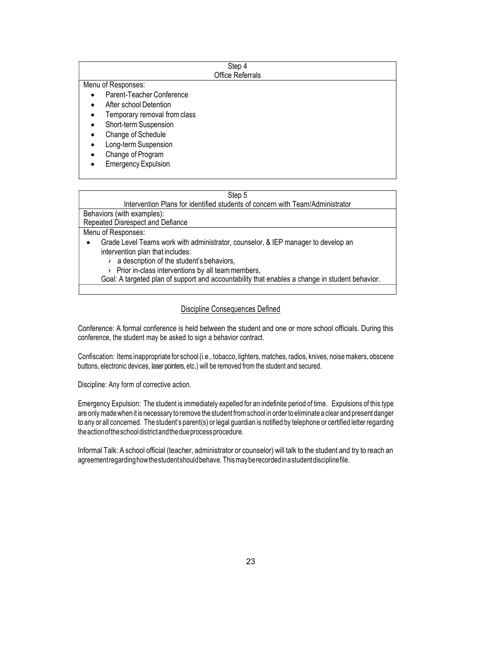|                                           | Step 4                  |
|-------------------------------------------|-------------------------|
|                                           | <b>Office Referrals</b> |
| Menu of Responses:                        |                         |
| Parent-Teacher Conference                 |                         |
| After school Detention<br>$\bullet$       |                         |
| Temporary removal from class<br>$\bullet$ |                         |
| Short-term Suspension<br>$\bullet$        |                         |
| Change of Schedule<br>$\bullet$           |                         |
| Long-term Suspension<br>$\bullet$         |                         |
| Change of Program<br>$\bullet$            |                         |
| <b>Emergency Expulsion</b>                |                         |
|                                           |                         |

| Step 5                                                                                         |  |
|------------------------------------------------------------------------------------------------|--|
| Intervention Plans for identified students of concern with Team/Administrator                  |  |
| Behaviors (with examples):                                                                     |  |
| Repeated Disrespect and Defiance                                                               |  |
| Menu of Responses:                                                                             |  |
| Grade Level Teams work with administrator, counselor, & IEP manager to develop an<br>$\bullet$ |  |
| intervention plan that includes:                                                               |  |
| a description of the student's behaviors,                                                      |  |
| > Prior in-class interventions by all team members,                                            |  |
| Goal: A targeted plan of support and accountability that enables a change in student behavior. |  |

## Discipline Consequences Defined

Conference: A formal conference is held between the student and one or more school officials. During this conference, the student may be asked to sign a behavior contract.

Confiscation: Items inappropriate for school (i.e., tobacco, lighters, matches, radios, knives, noise makers, obscene buttons, electronic devices, laser pointers, etc.) will be removed from the student and secured.

Discipline: Any form of corrective action.

Emergency Expulsion: The student is immediately expelled for an indefinite period of time. Expulsions of this type are only made when it is necessary to remove the student from school in order to eliminate a clear and present danger to any or all concerned. The student's parent(s) or legal guardian is notified by telephone or certified letter regarding the action of the school district and the due process procedure.

Informal Talk: A school official (teacher, administrator or counselor) will talk to the student and try to reach an agreement regarding how the student should behave. This may be recorded in a student discipline file.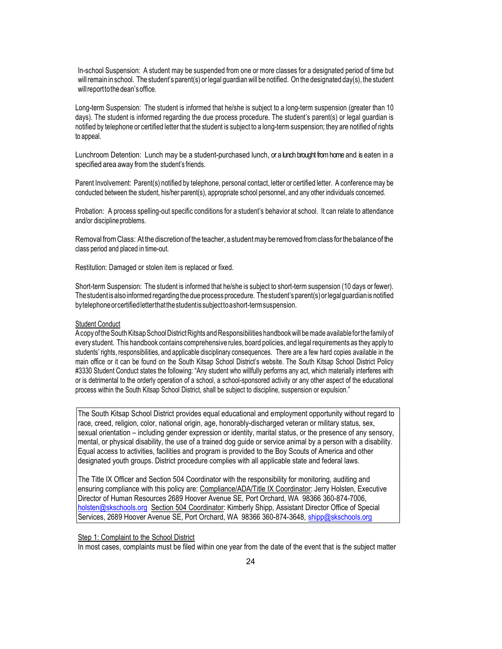In-school Suspension: A student may be suspended from one or more classes for a designated period of time but will remain in school. The student's parent(s) or legal guardian will be notified. On the designated day(s), the student will report to the dean's office.

Long-term Suspension: The student is informed that he/she is subject to a long-term suspension (greater than 10 days). The student is informed regarding the due process procedure. The student's parent(s) or legal guardian is notified by telephone or certified letter that the student is subject to a long-term suspension; they are notified of rights to appeal.

Lunchroom Detention: Lunch may be a student-purchased lunch, or a lunch brought from home and is eaten in a specified area away from the student's friends.

Parent Involvement: Parent(s) notified by telephone, personal contact, letter or certified letter. A conference may be conducted between the student, his/her parent(s), appropriate school personnel, and any other individuals concerned.

Probation: A process spelling-out specific conditions for a student's behavior at school. It can relate to attendance and/or discipline problems.

Removal from Class: At the discretion of the teacher, a student may be removed from class for the balance of the class period and placed in time-out.

Restitution: Damaged or stolen item is replaced or fixed.

Short-term Suspension: The student is informed that he/she is subject to short-term suspension (10 days or fewer). The student is also informed regarding the due process procedure. The student's parent(s) or legal guardian is notified by telephone or certified letter that the student is subject to a short-term suspension.

## Student Conduct

A copy of the South Kitsap School District Rights and Responsibilities handbook will be made available for the family of every student. This handbook contains comprehensive rules, board policies, and legal requirements as they apply to students' rights, responsibilities, and applicable disciplinary consequences. There are a few hard copies available in the main office or it can be found on the South Kitsap School District's website. The South Kitsap School District Policy #3330 Student Conduct states the following: "Any student who willfully performs any act, which materially interferes with or is detrimental to the orderly operation of a school, a school-sponsored activity or any other aspect of the educational process within the South Kitsap School District, shall be subject to discipline, suspension or expulsion."

The South Kitsap School District provides equal educational and employment opportunity without regard to race, creed, religion, color, national origin, age, honorably-discharged veteran or military status, sex, sexual orientation – including gender expression or identity, marital status, or the presence of any sensory, mental, or physical disability, the use of a trained dog guide or service animal by a person with a disability. Equal access to activities, facilities and program is provided to the Boy Scouts of America and other designated youth groups. District procedure complies with all applicable state and federal laws.

The Title IX Officer and Section 504 Coordinator with the responsibility for monitoring, auditing and ensuring compliance with this policy are: Compliance/ADA/Title IX Coordinator: Jerry Holsten, Executive Director of Human Resources 2689 Hoover Avenue SE, Port Orchard, WA 98366 360-874-7006, holsten@skschools.org Section 504 Coordinator: Kimberly Shipp, Assistant Director Office of Special Services, 2689 Hoover Avenue SE, Port Orchard, WA 98366 360-874-3648, shipp@skschools.org

#### Step 1: Complaint to the School District

In most cases, complaints must be filed within one year from the date of the event that is the subject matter